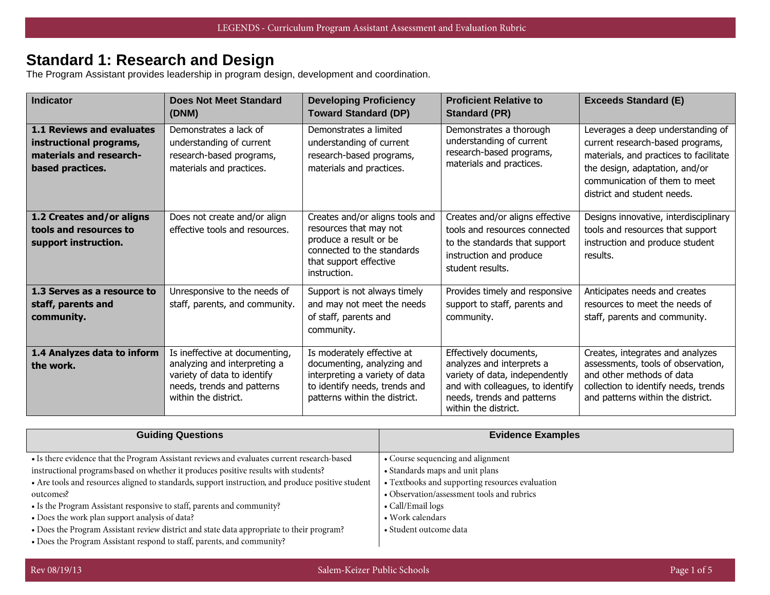#### **Standard 1: Research and Design**

The Program Assistant provides leadership in program design, development and coordination.

| <b>Indicator</b>                                                                                    | <b>Does Not Meet Standard</b><br>(DNM)                                                                                                              | <b>Developing Proficiency</b><br><b>Toward Standard (DP)</b>                                                                                                 | <b>Proficient Relative to</b><br><b>Standard (PR)</b>                                                                                                                           | <b>Exceeds Standard (E)</b>                                                                                                                                                                                       |
|-----------------------------------------------------------------------------------------------------|-----------------------------------------------------------------------------------------------------------------------------------------------------|--------------------------------------------------------------------------------------------------------------------------------------------------------------|---------------------------------------------------------------------------------------------------------------------------------------------------------------------------------|-------------------------------------------------------------------------------------------------------------------------------------------------------------------------------------------------------------------|
| 1.1 Reviews and evaluates<br>instructional programs,<br>materials and research-<br>based practices. | Demonstrates a lack of<br>understanding of current<br>research-based programs,<br>materials and practices.                                          | Demonstrates a limited<br>understanding of current<br>research-based programs,<br>materials and practices.                                                   | Demonstrates a thorough<br>understanding of current<br>research-based programs,<br>materials and practices.                                                                     | Leverages a deep understanding of<br>current research-based programs,<br>materials, and practices to facilitate<br>the design, adaptation, and/or<br>communication of them to meet<br>district and student needs. |
| 1.2 Creates and/or aligns<br>tools and resources to<br>support instruction.                         | Does not create and/or align<br>effective tools and resources.                                                                                      | Creates and/or aligns tools and<br>resources that may not<br>produce a result or be<br>connected to the standards<br>that support effective<br>instruction.  | Creates and/or aligns effective<br>tools and resources connected<br>to the standards that support<br>instruction and produce<br>student results.                                | Designs innovative, interdisciplinary<br>tools and resources that support<br>instruction and produce student<br>results.                                                                                          |
| 1.3 Serves as a resource to<br>staff, parents and<br>community.                                     | Unresponsive to the needs of<br>staff, parents, and community.                                                                                      | Support is not always timely<br>and may not meet the needs<br>of staff, parents and<br>community.                                                            | Provides timely and responsive<br>support to staff, parents and<br>community.                                                                                                   | Anticipates needs and creates<br>resources to meet the needs of<br>staff, parents and community.                                                                                                                  |
| 1.4 Analyzes data to inform<br>the work.                                                            | Is ineffective at documenting,<br>analyzing and interpreting a<br>variety of data to identify<br>needs, trends and patterns<br>within the district. | Is moderately effective at<br>documenting, analyzing and<br>interpreting a variety of data<br>to identify needs, trends and<br>patterns within the district. | Effectively documents,<br>analyzes and interprets a<br>variety of data, independently<br>and with colleagues, to identify<br>needs, trends and patterns<br>within the district. | Creates, integrates and analyzes<br>assessments, tools of observation,<br>and other methods of data<br>collection to identify needs, trends<br>and patterns within the district.                                  |

| <b>Guiding Questions</b>                                                                          | <b>Evidence Examples</b>                        |
|---------------------------------------------------------------------------------------------------|-------------------------------------------------|
| • Is there evidence that the Program Assistant reviews and evaluates current research-based       | • Course sequencing and alignment               |
| instructional programs based on whether it produces positive results with students?               | • Standards maps and unit plans                 |
| • Are tools and resources aligned to standards, support instruction, and produce positive student | • Textbooks and supporting resources evaluation |
| outcomes?                                                                                         | • Observation/assessment tools and rubrics      |
| • Is the Program Assistant responsive to staff, parents and community?                            | • Call/Email logs                               |
| • Does the work plan support analysis of data?                                                    | • Work calendars                                |
| • Does the Program Assistant review district and state data appropriate to their program?         | • Student outcome data                          |
| • Does the Program Assistant respond to staff, parents, and community?                            |                                                 |

Rev 08/19/13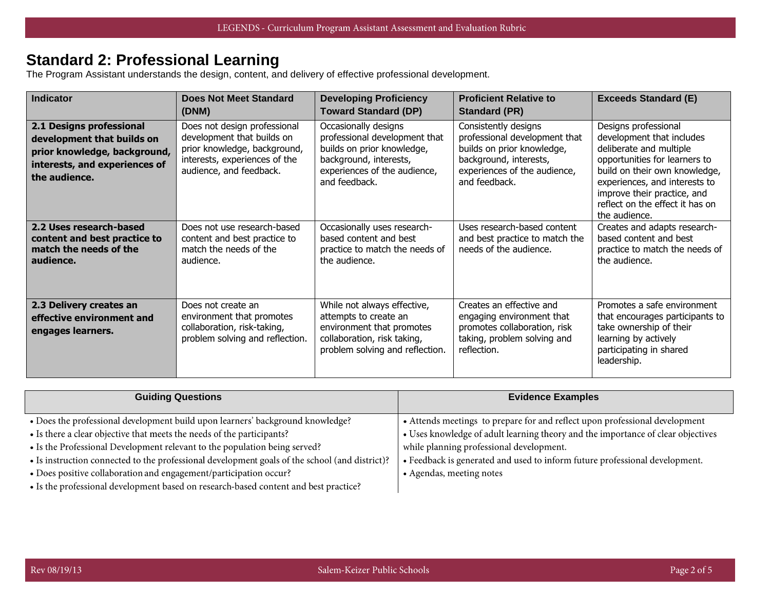# **Standard 2: Professional Learning**

The Program Assistant understands the design, content, and delivery of effective professional development.

| <b>Indicator</b>                                                                                                                         | <b>Does Not Meet Standard</b><br>(DNM)                                                                                                                 | <b>Developing Proficiency</b><br><b>Toward Standard (DP)</b>                                                                                                   | <b>Proficient Relative to</b><br><b>Standard (PR)</b>                                                                                                          | <b>Exceeds Standard (E)</b>                                                                                                                                                                                                                                        |
|------------------------------------------------------------------------------------------------------------------------------------------|--------------------------------------------------------------------------------------------------------------------------------------------------------|----------------------------------------------------------------------------------------------------------------------------------------------------------------|----------------------------------------------------------------------------------------------------------------------------------------------------------------|--------------------------------------------------------------------------------------------------------------------------------------------------------------------------------------------------------------------------------------------------------------------|
| 2.1 Designs professional<br>development that builds on<br>prior knowledge, background,<br>interests, and experiences of<br>the audience. | Does not design professional<br>development that builds on<br>prior knowledge, background,<br>interests, experiences of the<br>audience, and feedback. | Occasionally designs<br>professional development that<br>builds on prior knowledge,<br>background, interests,<br>experiences of the audience,<br>and feedback. | Consistently designs<br>professional development that<br>builds on prior knowledge,<br>background, interests,<br>experiences of the audience,<br>and feedback. | Designs professional<br>development that includes<br>deliberate and multiple<br>opportunities for learners to<br>build on their own knowledge,<br>experiences, and interests to<br>improve their practice, and<br>reflect on the effect it has on<br>the audience. |
| 2.2 Uses research-based<br>content and best practice to<br>match the needs of the<br>audience.                                           | Does not use research-based<br>content and best practice to<br>match the needs of the<br>audience.                                                     | Occasionally uses research-<br>based content and best<br>practice to match the needs of<br>the audience.                                                       | Uses research-based content<br>and best practice to match the<br>needs of the audience.                                                                        | Creates and adapts research-<br>based content and best<br>practice to match the needs of<br>the audience.                                                                                                                                                          |
| 2.3 Delivery creates an<br>effective environment and<br>engages learners.                                                                | Does not create an<br>environment that promotes<br>collaboration, risk-taking,<br>problem solving and reflection.                                      | While not always effective,<br>attempts to create an<br>environment that promotes<br>collaboration, risk taking,<br>problem solving and reflection.            | Creates an effective and<br>engaging environment that<br>promotes collaboration, risk<br>taking, problem solving and<br>reflection.                            | Promotes a safe environment<br>that encourages participants to<br>take ownership of their<br>learning by actively<br>participating in shared<br>leadership.                                                                                                        |

| <b>Guiding Questions</b>                                                                       | <b>Evidence Examples</b>                                                         |  |
|------------------------------------------------------------------------------------------------|----------------------------------------------------------------------------------|--|
|                                                                                                |                                                                                  |  |
| • Does the professional development build upon learners' background knowledge?                 | • Attends meetings to prepare for and reflect upon professional development      |  |
| • Is there a clear objective that meets the needs of the participants?                         | • Uses knowledge of adult learning theory and the importance of clear objectives |  |
| • Is the Professional Development relevant to the population being served?                     | while planning professional development.                                         |  |
| • Is instruction connected to the professional development goals of the school (and district)? | • Feedback is generated and used to inform future professional development.      |  |
| • Does positive collaboration and engagement/participation occur?                              | • Agendas, meeting notes                                                         |  |
| • Is the professional development based on research-based content and best practice?           |                                                                                  |  |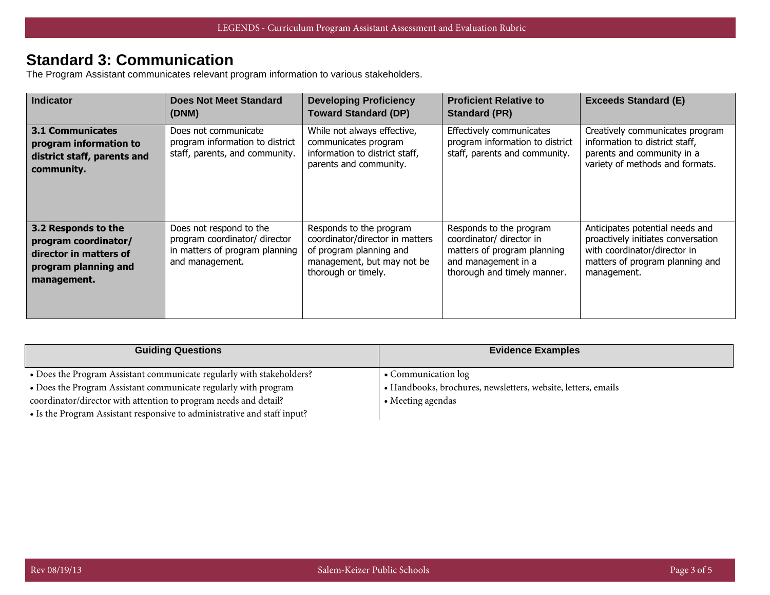# **Standard 3: Communication**

The Program Assistant communicates relevant program information to various stakeholders.

| <b>Indicator</b>                                                                                             | Does Not Meet Standard<br>(DNM)                                                                               | <b>Developing Proficiency</b><br><b>Toward Standard (DP)</b>                                                                               | <b>Proficient Relative to</b><br><b>Standard (PR)</b>                                                                                    | <b>Exceeds Standard (E)</b>                                                                                                                             |
|--------------------------------------------------------------------------------------------------------------|---------------------------------------------------------------------------------------------------------------|--------------------------------------------------------------------------------------------------------------------------------------------|------------------------------------------------------------------------------------------------------------------------------------------|---------------------------------------------------------------------------------------------------------------------------------------------------------|
| <b>3.1 Communicates</b><br>program information to<br>district staff, parents and<br>community.               | Does not communicate<br>program information to district<br>staff, parents, and community.                     | While not always effective,<br>communicates program<br>information to district staff,<br>parents and community.                            | Effectively communicates<br>program information to district<br>staff, parents and community.                                             | Creatively communicates program<br>information to district staff,<br>parents and community in a<br>variety of methods and formats.                      |
| 3.2 Responds to the<br>program coordinator/<br>director in matters of<br>program planning and<br>management. | Does not respond to the<br>program coordinator/ director<br>in matters of program planning<br>and management. | Responds to the program<br>coordinator/director in matters<br>of program planning and<br>management, but may not be<br>thorough or timely. | Responds to the program<br>coordinator/ director in<br>matters of program planning<br>and management in a<br>thorough and timely manner. | Anticipates potential needs and<br>proactively initiates conversation<br>with coordinator/director in<br>matters of program planning and<br>management. |

| <b>Guiding Questions</b>                                                 | <b>Evidence Examples</b>                                      |
|--------------------------------------------------------------------------|---------------------------------------------------------------|
| • Does the Program Assistant communicate regularly with stakeholders?    | • Communication log                                           |
| • Does the Program Assistant communicate regularly with program          | • Handbooks, brochures, newsletters, website, letters, emails |
| coordinator/director with attention to program needs and detail?         | • Meeting agendas                                             |
| • Is the Program Assistant responsive to administrative and staff input? |                                                               |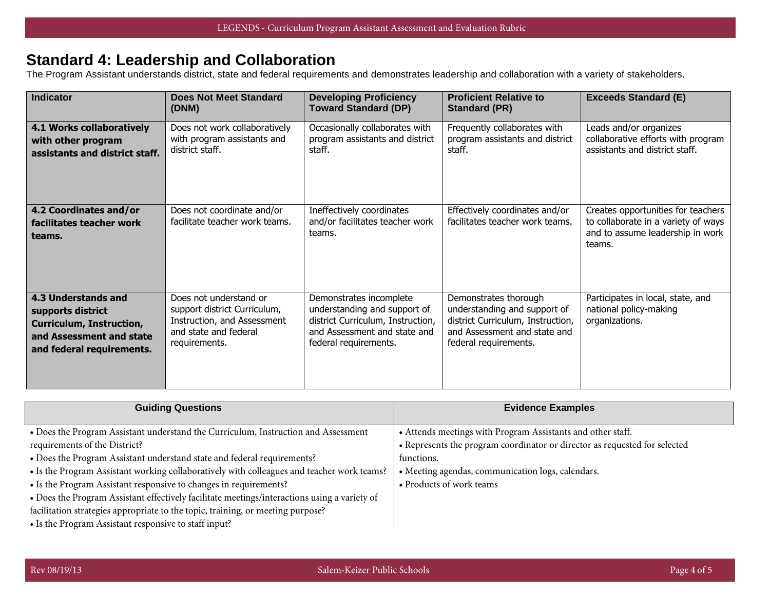# **Standard 4: Leadership and Collaboration**

The Program Assistant understands district, state and federal requirements and demonstrates leadership and collaboration with a variety of stakeholders.

| <b>Indicator</b>                                                                                                                     | <b>Does Not Meet Standard</b><br>(DNM)                                                                                          | <b>Developing Proficiency</b><br><b>Toward Standard (DP)</b>                                                                                          | <b>Proficient Relative to</b><br><b>Standard (PR)</b>                                                                                               | <b>Exceeds Standard (E)</b>                                                                                             |
|--------------------------------------------------------------------------------------------------------------------------------------|---------------------------------------------------------------------------------------------------------------------------------|-------------------------------------------------------------------------------------------------------------------------------------------------------|-----------------------------------------------------------------------------------------------------------------------------------------------------|-------------------------------------------------------------------------------------------------------------------------|
| <b>4.1 Works collaboratively</b><br>with other program<br>assistants and district staff.                                             | Does not work collaboratively<br>with program assistants and<br>district staff.                                                 | Occasionally collaborates with<br>program assistants and district<br>staff.                                                                           | Frequently collaborates with<br>program assistants and district<br>staff.                                                                           | Leads and/or organizes<br>collaborative efforts with program<br>assistants and district staff.                          |
| 4.2 Coordinates and/or<br>facilitates teacher work<br>teams.                                                                         | Does not coordinate and/or<br>facilitate teacher work teams.                                                                    | Ineffectively coordinates<br>and/or facilitates teacher work<br>teams.                                                                                | Effectively coordinates and/or<br>facilitates teacher work teams.                                                                                   | Creates opportunities for teachers<br>to collaborate in a variety of ways<br>and to assume leadership in work<br>teams. |
| 4.3 Understands and<br>supports district<br><b>Curriculum, Instruction,</b><br>and Assessment and state<br>and federal requirements. | Does not understand or<br>support district Curriculum,<br>Instruction, and Assessment<br>and state and federal<br>requirements. | Demonstrates incomplete<br>understanding and support of<br>district Curriculum, Instruction,<br>and Assessment and state and<br>federal requirements. | Demonstrates thorough<br>understanding and support of<br>district Curriculum, Instruction,<br>and Assessment and state and<br>federal requirements. | Participates in local, state, and<br>national policy-making<br>organizations.                                           |

| <b>Guiding Questions</b>                                                                     | <b>Evidence Examples</b>                                                   |
|----------------------------------------------------------------------------------------------|----------------------------------------------------------------------------|
| • Does the Program Assistant understand the Curriculum, Instruction and Assessment           | • Attends meetings with Program Assistants and other staff.                |
| requirements of the District?                                                                | • Represents the program coordinator or director as requested for selected |
| • Does the Program Assistant understand state and federal requirements?                      | functions.                                                                 |
| • Is the Program Assistant working collaboratively with colleagues and teacher work teams?   | • Meeting agendas, communication logs, calendars.                          |
| • Is the Program Assistant responsive to changes in requirements?                            | • Products of work teams                                                   |
| • Does the Program Assistant effectively facilitate meetings/interactions using a variety of |                                                                            |
| facilitation strategies appropriate to the topic, training, or meeting purpose?              |                                                                            |
| • Is the Program Assistant responsive to staff input?                                        |                                                                            |